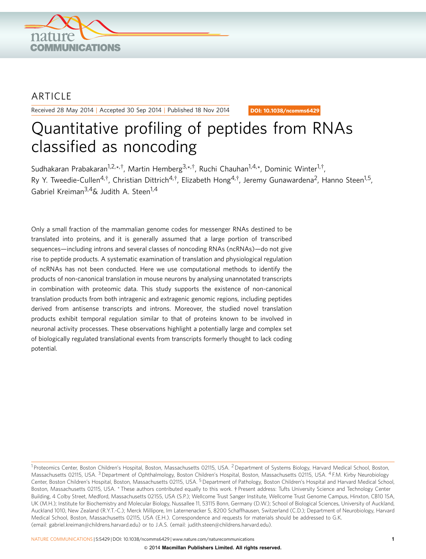

## ARTICLE

Received 28 May 2014 | Accepted 30 Sep 2014 | Published 18 Nov 2014

DOI: 10.1038/ncomms6429

# Quantitative profiling of peptides from RNAs classified as noncoding

Sudhakaran Prabakaran<sup>1,2,\*,†</sup>, Martin Hemberg<sup>3,\*,†</sup>, Ruchi Chauhan<sup>1,4,\*</sup>, Dominic Winter<sup>1,†</sup>, Ry Y. Tweedie-Cullen<sup>4,†</sup>, Christian Dittrich<sup>4,†</sup>, Elizabeth Hong<sup>4,†</sup>, Jeremy Gunawardena<sup>2</sup>, Hanno Steen<sup>1,5</sup>, Gabriel Kreiman<sup>3,4</sup>& Judith A. Steen<sup>1,4</sup>

Only a small fraction of the mammalian genome codes for messenger RNAs destined to be translated into proteins, and it is generally assumed that a large portion of transcribed sequences—including introns and several classes of noncoding RNAs (ncRNAs)—do not give rise to peptide products. A systematic examination of translation and physiological regulation of ncRNAs has not been conducted. Here we use computational methods to identify the products of non-canonical translation in mouse neurons by analysing unannotated transcripts in combination with proteomic data. This study supports the existence of non-canonical translation products from both intragenic and extragenic genomic regions, including peptides derived from antisense transcripts and introns. Moreover, the studied novel translation products exhibit temporal regulation similar to that of proteins known to be involved in neuronal activity processes. These observations highlight a potentially large and complex set of biologically regulated translational events from transcripts formerly thought to lack coding potential.

<sup>&</sup>lt;sup>1</sup> Proteomics Center, Boston Children's Hospital, Boston, Massachusetts 02115, USA. <sup>2</sup> Department of Systems Biology, Harvard Medical School, Boston, Massachusetts 02115, USA. <sup>3</sup> Department of Ophthalmology, Boston Children's Hospital, Boston, Massachusetts 02115, USA. <sup>4</sup> F.M. Kirby Neurobiology Center, Boston Children's Hospital, Boston, Massachusetts 02115, USA. <sup>5</sup> Department of Pathology, Boston Children's Hospital and Harvard Medical School, Boston, Massachusetts 02115, USA. \* These authors contributed equally to this work. † Present address: Tufts University Science and Technology Center Building, 4 Colby Street, Medford, Massachusetts 02155, USA (S.P.); Wellcome Trust Sanger Institute, Wellcome Trust Genome Campus, Hinxton, CB10 1SA, UK (M.H.); Institute for Biochemistry and Molecular Biology, Nussallee 11, 53115 Bonn, Germany (D.W.); School of Biological Sciences, University of Auckland, Auckland 1010, New Zealand (R.Y.T.-C.); Merck Millipore, Im Laternenacker 5, 8200 Schaffhausen, Switzerland (C.D.); Department of Neurobiology, Harvard Medical School, Boston, Massachusetts 02115, USA (E.H.). Correspondence and requests for materials should be addressed to G.K. (email: [gabriel.kreiman@childrens.harvard.edu](mailto:gabriel.kreiman@childrens.harvard.edu)) or to J.A.S. (email: [judith.steen@childrens.harvard.edu\)](mailto:judith.steen@childrens.harvard.edu).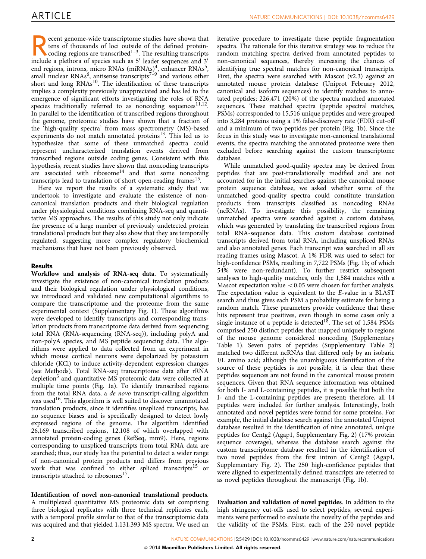ecent genome-wide transcriptome studies have shown that<br>tens of thousands of loci outside of the defined protein-<br>coding regions are transcribed<sup>1–3</sup>. The resulting transcripts<br>include a plethora of species such as 5<sup>7</sup> le tens of thousands of loci outside of the defined proteininclude a plethora of species such as  $5'$  leader sequences and  $3'$ end regions, introns, micro RNAs  $(miRNAs)^4$  $(miRNAs)^4$ , enhancer RNAs<sup>5</sup>, small nuclear RNAs<sup>6</sup>, antisense transcripts<sup> $7-9$ </sup> and various other short and long  $RNAs<sup>10</sup>$ . The identification of these transcripts implies a complexity previously unappreciated and has led to the emergence of significant efforts investigating the roles of RNA species traditionally referred to as noncoding sequences $^{11,12}$ . In parallel to the identification of transcribed regions throughout the genome, proteomic studies have shown that a fraction of the 'high-quality spectra' from mass spectrometry (MS)-based experiments do not match annotated proteins $^{13}$ . This led us to hypothesize that some of these unmatched spectra could represent uncharacterized translation events derived from transcribed regions outside coding genes. Consistent with this hypothesis, recent studies have shown that noncoding transcripts are associated with ribosome<sup>14</sup> and that some noncoding transcripts lead to translation of short open-reading frames $15$ .

Here we report the results of a systematic study that we undertook to investigate and evaluate the existence of noncanonical translation products and their biological regulation under physiological conditions combining RNA-seq and quantitative MS approaches. The results of this study not only indicate the presence of a large number of previously undetected protein translational products but they also show that they are temporally regulated, suggesting more complex regulatory biochemical mechanisms that have not been previously observed.

### Results

Workflow and analysis of RNA-seq data. To systematically investigate the existence of non-canonical translation products and their biological regulation under physiological conditions, we introduced and validated new computational algorithms to compare the transcriptome and the proteome from the same experimental context (Supplementary Fig. 1). These algorithms were developed to identify transcripts and corresponding translation products from transcriptome data derived from sequencing total RNA (RNA-sequencing (RNA-seq)), including polyA and non-polyA species, and MS peptide sequencing data. The algorithms were applied to data collected from an experiment in which mouse cortical neurons were depolarized by potassium chloride (KCl) to induce activity-dependent expression changes (see Methods). Total RNA-seq transcriptome data after rRNA depletion<sup>[5](#page-8-0)</sup> and quantitative MS proteomic data were collected at multiple time points [\(Fig. 1a](#page-2-0)). To identify transcribed regions from the total RNA data, a de novo transcript-calling algorithm was used<sup>16</sup>. This algorithm is well suited to discover unannotated translation products, since it identifies unspliced transcripts, has no sequence biases and is specifically designed to detect lowly expressed regions of the genome. The algorithm identified 26,169 transcribed regions, 12,108 of which overlapped with annotated protein-coding genes (RefSeq, mm9). Here, regions corresponding to unspliced transcripts from total RNA data are searched; thus, our study has the potential to detect a wider range of non-canonical protein products and differs from previous work that was confined to either spliced transcripts<sup>[15](#page-8-0)</sup> or transcripts attached to ribosomes $^{17}$  $^{17}$  $^{17}$ .

Identification of novel non-canonical translational products.

A multiplexed quantitative MS proteomic data set comprising three biological replicates with three technical replicates each, with a temporal profile similar to that of the transcriptomic data was acquired and that yielded 1,131,393 MS spectra. We used an

iterative procedure to investigate these peptide fragmentation spectra. The rationale for this iterative strategy was to reduce the random matching spectra derived from annotated peptides to non-canonical sequences, thereby increasing the chances of identifying true spectral matches for non-canonical transcripts. First, the spectra were searched with Mascot (v2.3) against an annotated mouse protein database (Uniprot February 2012, canonical and isoform sequences) to identify matches to annotated peptides; 226,471 (20%) of the spectra matched annotated sequences. These matched spectra (peptide spectral matches, PSMs) corresponded to 15,516 unique peptides and were grouped into 3,284 proteins using a 1% false-discovery rate (FDR) cut-off and a minimum of two peptides per protein ([Fig. 1b](#page-2-0)). Since the focus in this study was to investigate non-canonical translational events, the spectra matching the annotated proteome were then excluded before searching against the custom transcriptome database.

While unmatched good-quality spectra may be derived from peptides that are post-translationally modified and are not accounted for in the initial searches against the canonical mouse protein sequence database, we asked whether some of the unmatched good-quality spectra could constitute translation products from transcripts classified as noncoding RNAs (ncRNAs). To investigate this possibility, the remaining unmatched spectra were searched against a custom database, which was generated by translating the transcribed regions from total RNA-sequence data. This custom database contained transcripts derived from total RNA, including unspliced RNAs and also annotated genes. Each transcript was searched in all six reading frames using Mascot. A 1% FDR was used to select for high-confidence PSMs, resulting in 7,722 PSMs ([Fig. 1b](#page-2-0); of which 54% were non-redundant). To further restrict subsequent analyses to high-quality matches, only the 1,584 matches with a Mascot expectation value  $< 0.05$  were chosen for further analysis. The expectation value is equivalent to the E-value in a BLAST search and thus gives each PSM a probability estimate for being a random match. These parameters provide confidence that these hits represent true positives, even though in some cases only a single instance of a peptide is detected<sup>18</sup>. The set of 1,584 PSMs comprised 250 distinct peptides that mapped uniquely to regions of the mouse genome considered noncoding (Supplementary Table 1). Seven pairs of peptides (Supplementary Table 2) matched two different ncRNAs that differed only by an isobaric I/L amino acid; although the unambiguous identification of the source of these peptides is not possible, it is clear that these peptides sequences are not found in the canonical mouse protein sequences. Given that RNA sequence information was obtained for both I- and L-containing peptides, it is possible that both the I- and the L-containing peptides are present; therefore, all 14 peptides were included for further analysis. Interestingly, both annotated and novel peptides were found for some proteins. For example, the initial database search against the annotated Uniprot database resulted in the identification of nine annotated, unique peptides for Centg2 (Agap1, Supplementary Fig. 2) (17% protein sequence coverage), whereas the database search against the custom transcriptome database resulted in the identification of two novel peptides from the first intron of Centg2 (Agap1, Supplementary Fig. 2). The 250 high-confidence peptides that were aligned to experimentally defined transcripts are referred to as novel peptides throughout the manuscript ([Fig. 1b](#page-2-0)).

Evaluation and validation of novel peptides. In addition to the high stringency cut-offs used to select peptides, several experiments were performed to evaluate the novelty of the peptides and the validity of the PSMs. First, each of the 250 novel peptide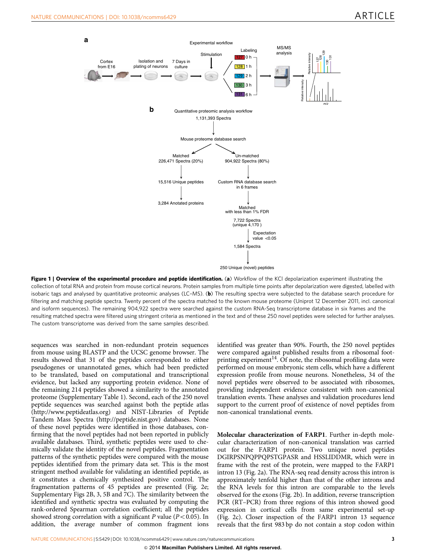<span id="page-2-0"></span>

Figure 1 | Overview of the experimental procedure and peptide identification. (a) Workflow of the KCI depolarization experiment illustrating the collection of total RNA and protein from mouse cortical neurons. Protein samples from multiple time points after depolarization were digested, labelled with isobaric tags and analysed by quantitative proteomic analyses (LC-MS). (b) The resulting spectra were subjected to the database search procedure for filtering and matching peptide spectra. Twenty percent of the spectra matched to the known mouse proteome (Uniprot 12 December 2011, incl. canonical and isoform sequences). The remaining 904,922 spectra were searched against the custom RNA-Seq transcriptome database in six frames and the resulting matched spectra were filtered using stringent criteria as mentioned in the text and of these 250 novel peptides were selected for further analyses. The custom transcriptome was derived from the same samples described.

sequences was searched in non-redundant protein sequences from mouse using BLASTP and the UCSC genome browser. The results showed that 31 of the peptides corresponded to either pseudogenes or unannotated genes, which had been predicted to be translated, based on computational and transcriptional evidence, but lacked any supporting protein evidence. None of the remaining 214 peptides showed a similarity to the annotated proteome (Supplementary Table 1). Second, each of the 250 novel peptide sequences was searched against both the peptide atlas (<http://www.peptideatlas.org>) and NIST-Libraries of Peptide Tandem Mass Spectra [\(http://peptide.nist.gov](http://peptide.nist.gov)) databases. None of these novel peptides were identified in those databases, confirming that the novel peptides had not been reported in publicly available databases. Third, synthetic peptides were used to chemically validate the identity of the novel peptides. Fragmentation patterns of the synthetic peptides were compared with the mouse peptides identified from the primary data set. This is the most stringent method available for validating an identified peptide, as it constitutes a chemically synthesized positive control. The fragmentation patterns of 45 peptides are presented [\(Fig. 2e;](#page-4-0) Supplementary Figs 2B, 3, 5B and 7C). The similarity between the identified and synthetic spectra was evaluated by computing the rank-ordered Spearman correlation coefficient; all the peptides showed strong correlation with a significant P value ( $P < 0.05$ ). In addition, the average number of common fragment ions identified was greater than 90%. Fourth, the 250 novel peptides were compared against published results from a ribosomal footprinting experiment<sup>14</sup>. Of note, the ribosomal profiling data were performed on mouse embryonic stem cells, which have a different expression profile from mouse neurons. Nonetheless, 34 of the novel peptides were observed to be associated with ribosomes, providing independent evidence consistent with non-canonical translation events. These analyses and validation procedures lend support to the current proof of existence of novel peptides from non-canonical translational events.

Molecular characterization of FARP1. Further in-depth molecular characterization of non-canonical translation was carried out for the FARP1 protein. Two unique novel peptides DGIRPSNPQPPQPSTGPASR and HSSLIDDMR, which were in frame with the rest of the protein, were mapped to the FARP1 intron 13 [\(Fig. 2a\)](#page-4-0). The RNA-seq read density across this intron is approximately tenfold higher than that of the other introns and the RNA levels for this intron are comparable to the levels observed for the exons [\(Fig. 2b\)](#page-4-0). In addition, reverse transcription PCR (RT–PCR) from three regions of this intron showed good expression in cortical cells from same experimental set-up ([Fig. 2c\)](#page-4-0). Closer inspection of the FARP1 intron 13 sequence reveals that the first 983 bp do not contain a stop codon within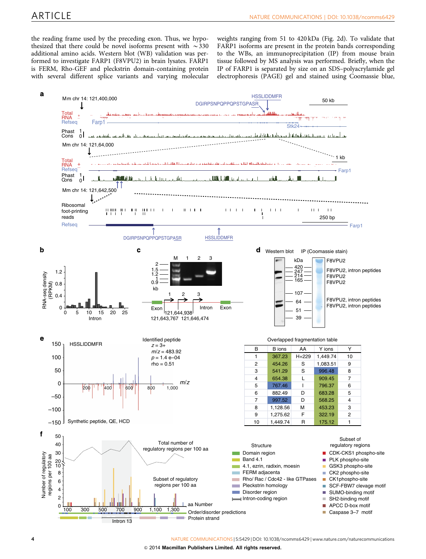the reading frame used by the preceding exon. Thus, we hypothesized that there could be novel isoforms present with  $\sim$  330 additional amino acids. Western blot (WB) validation was performed to investigate FARP1 (F8VPU2) in brain lysates. FARP1 is FERM, Rho-GEF and pleckstrin domain-containing protein with several different splice variants and varying molecular

weights ranging from 51 to 420 kDa [\(Fig. 2d](#page-4-0)). To validate that FARP1 isoforms are present in the protein bands corresponding to the WBs, an immunoprecipitation (IP) from mouse brain tissue followed by MS analysis was performed. Briefly, when the IP of FARP1 is separated by size on an SDS–polyacrylamide gel electrophoresis (PAGE) gel and stained using Coomassie blue,

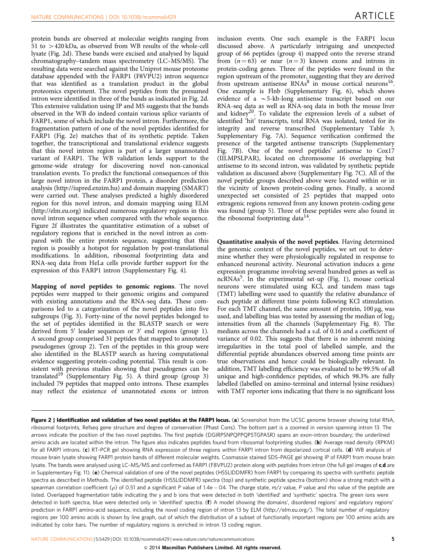<span id="page-4-0"></span>protein bands are observed at molecular weights ranging from 51 to  $>$  420 kDa, as observed from WB results of the whole-cell lysate (Fig. 2d). These bands were excised and analysed by liquid chromatography–tandem mass spectrometry (LC–MS/MS). The resulting data were searched against the Uniprot mouse proteome database appended with the FARP1 (F8VPU2) intron sequence that was identified as a translation product in the global proteomics experiment. The novel peptides from the presumed intron were identified in three of the bands as indicated in Fig. 2d. This extensive validation using IP and MS suggests that the bands observed in the WB do indeed contain various splice variants of FARP1, some of which include the novel intron. Furthermore, the fragmentation pattern of one of the novel peptides identified for FARP1 (Fig. 2e) matches that of its synthetic peptide. Taken together, the transcriptional and translational evidence suggests that this novel intron region is part of a larger unannotated variant of FARP1. The WB validation lends support to the genome-wide strategy for discovering novel non-canonical translation events. To predict the functional consequences of this large novel intron in the FARP1 protein, a disorder prediction analysis (<http://iupred.enzim.hu>) and domain mapping (SMART) were carried out. These analyses predicted a highly disordered region for this novel intron, and domain mapping using ELM (<http://elm.eu.org>) indicated numerous regulatory regions in this novel intron sequence when compared with the whole sequence. Figure 2f illustrates the quantitative estimation of a subset of regulatory regions that is enriched in the novel intron as compared with the entire protein sequence, suggesting that this region is possibly a hotspot for regulation by post-translational modifications. In addition, ribosomal footprinting data and RNA-seq data from HeLa cells provide further support for the expression of this FARP1 intron (Supplementary Fig. 4).

Mapping of novel peptides to genomic regions. The novel peptides were mapped to their genomic origins and compared with existing annotations and the RNA-seq data. These comparisons led to a categorization of the novel peptides into five subgroups ([Fig. 3\)](#page-5-0). Forty-nine of the novel peptides belonged to the set of peptides identified in the BLASTP search or were derived from  $5'$  leader sequences or  $3'$  end regions (group 1). A second group comprised 31 peptides that mapped to annotated pseudogenes (group 2). Ten of the peptides in this group were also identified in the BLASTP search as having computational evidence suggesting protein-coding potential. This result is consistent with previous studies showing that pseudogenes can be translated<sup>[19](#page-9-0)</sup> (Supplementary Fig. 5). A third group (group 3) included 79 peptides that mapped onto introns. These examples may reflect the existence of unannotated exons or intron

inclusion events. One such example is the FARP1 locus discussed above. A particularly intriguing and unexpected group of 66 peptides (group 4) mapped onto the reverse strand from  $(n = 63)$  or near  $(n = 3)$  known exons and introns in protein-coding genes. Three of the peptides were found in the region upstream of the promoter, suggesting that they are derived from upstream antisense  $RNAs^8$  $RNAs^8$  in mouse cortical neurons<sup>16</sup>. One example is Flnb (Supplementary Fig. 6), which shows evidence of a  $\sim$  5-kb-long antisense transcript based on our RNA-seq data as well as RNA-seq data in both the mouse liver and kidney<sup>20</sup>. To validate the expression levels of a subset of identified 'hit' transcripts, total RNA was isolated, tested for its integrity and reverse transcribed (Supplementary Table 3; Supplementary Fig. 7A). Sequence verification confirmed the presence of the targeted antisense transcripts (Supplementary Fig. 7B). One of the novel peptides' antisense to Cox17 (IILMPSLPAR), located on chromosome 16 overlapping but antisense to its second intron, was validated by synthetic peptide validation as discussed above (Supplementary Fig. 7C). All of the novel peptide groups described above were located within or in the vicinity of known protein-coding genes. Finally, a second unexpected set consisted of 25 peptides that mapped onto extragenic regions removed from any known protein-coding gene was found (group 5). Three of these peptides were also found in the ribosomal footprinting data $^{14}$ .

Quantitative analysis of the novel peptides. Having determined the genomic context of the novel peptides, we set out to determine whether they were physiologically regulated in response to enhanced neuronal activity. Neuronal activation induces a gene expression programme involving several hundred genes as well as ncRNAs<sup>[5](#page-8-0)</sup>. In the experimental set-up [\(Fig. 1](#page-2-0)), mouse cortical neurons were stimulated using KCl, and tandem mass tags (TMT) labelling were used to quantify the relative abundance of each peptide at different time points following KCl stimulation. For each TMT channel, the same amount of protein,  $100 \mu$ g, was used, and labelling bias was tested by assessing the median of  $log<sub>2</sub>$ intensities from all the channels (Supplementary Fig. 8). The medians across the channels had a s.d. of 0.16 and a coefficient of variance of 0.02. This suggests that there is no inherent mixing irregularities in the total pool of labelled sample, and the differential peptide abundances observed among time points are true observations and hence could be biologically relevant. In addition, TMT labelling efficiency was evaluated to be 99.5% of all unique and high-confidence peptides, of which 98.3% are fully labelled (labelled on amino-terminal and internal lysine residues) with TMT reporter ions indicating that there is no significant loss

Figure 2 | Identification and validation of two novel peptides at the FARP1 locus. (a) Screenshot from the UCSC genome browser showing total RNA, ribosomal footprints, Refseq gene structure and degree of conservation (Phast Cons). The bottom part is a zoomed in version spanning intron 13. The arrows indicate the position of the two novel peptides. The first peptide (DGIRPSNPQPPQPSTGPASR) spans an exon–intron boundary; the underlined amino acids are located within the intron. The figure also indicates peptides found from ribosomal footprinting studies. (b) Average read density (RPKM) for all FARP1 introns. (c) RT-PCR gel showing RNA expression of three regions within FARP1 intron from depolarized cortical cells. (d) WB analysis of mouse brain lysate showing FARP1 protein bands of different molecular weights. Coomassie stained SDS–PAGE gel showing IP of FARP1 from mouse brain lysate. The bands were analysed using LC-MS/MS and confirmed as FARP1 (F8VPU2) protein along with peptides from intron (the full gel images of c,d are in Supplementary Fig. 11). (e) Chemical validation of one of the novel peptides (HSSLIDDMFR) from FARP1 by comparing its spectra with synthetic peptide spectra as described in Methods. The identified peptide (HSSLIDDMFR) spectra (top) and synthetic peptide spectra (bottom) show a strong match with a spearman correlation coefficient ( $\rho$ ) of 0.51 and a significant P value of 1.4e – 04. The charge state, m/z value, P value and rho value of the peptide are listed. Overlapped fragmentation table indicating the y and b ions that were detected in both 'identified' and 'synthetic' spectra. The green ions were detected in both spectra, blue were detected only in 'identified' spectra. (f) A model showing the domains', disordered regions' and regulatory regions' prediction in FARP1 amino-acid sequence, including the novel coding region of intron 13 by ELM (http://elm.eu.org/). The total number of regulatory regions per 100 amino acids is shown by line graph, out of which the distribution of a subset of functionally important regions per 100 amino acids are indicated by color bars. The number of regulatory regions is enriched in intron 13 coding region.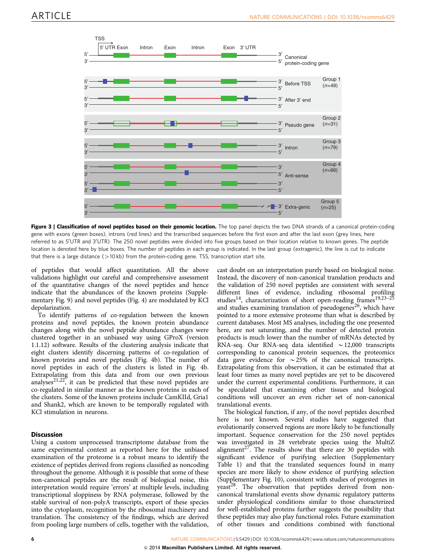<span id="page-5-0"></span>

Figure 3 | Classification of novel peptides based on their genomic location. The top panel depicts the two DNA strands of a canonical protein-coding gene with exons (green boxes), introns (red lines) and the transcribed sequences before the first exon and after the last exon (grey lines, here referred to as 5'UTR and 3'UTR). The 250 novel peptides were divided into five groups based on their location relative to known genes. The peptide location is denoted here by blue boxes. The number of peptides in each group is indicated. In the last group (extragenic), the line is cut to indicate that there is a large distance ( $>10$  kb) from the protein-coding gene. TSS, transcription start site.

of peptides that would affect quantitation. All the above validations highlight our careful and comprehensive assessment of the quantitative changes of the novel peptides and hence indicate that the abundances of the known proteins (Supplementary Fig. 9) and novel peptides [\(Fig. 4](#page-6-0)) are modulated by KCl depolarization.

To identify patterns of co-regulation between the known proteins and novel peptides, the known protein abundance changes along with the novel peptide abundance changes were clustered together in an unbiased way using GProX (version 1.1.12) software. Results of the clustering analysis indicate that eight clusters identify discerning patterns of co-regulation of known proteins and novel peptides ([Fig. 4b](#page-6-0)). The number of novel peptides in each of the clusters is listed in [Fig. 4b.](#page-6-0) Extrapolating from this data and from our own previous analyses<sup>21,22</sup>, it can be predicted that these novel peptides are co-regulated in similar manner as the known proteins in each of the clusters. Some of the known proteins include CamKIId, Gria1 and Shank2, which are known to be temporally regulated with KCl stimulation in neurons.

### **Discussion**

Using a custom unprocessed transcriptome database from the same experimental context as reported here for the unbiased examination of the proteome is a robust means to identify the existence of peptides derived from regions classified as noncoding throughout the genome. Although it is possible that some of these non-canonical peptides are the result of biological noise, this interpretation would require 'errors' at multiple levels, including transcriptional sloppiness by RNA polymerase, followed by the stable survival of non-polyA transcripts, export of these species into the cytoplasm, recognition by the ribosomal machinery and translation. The consistency of the findings, which are derived from pooling large numbers of cells, together with the validation,

cast doubt on an interpretation purely based on biological noise. Instead, the discovery of non-canonical translation products and the validation of 250 novel peptides are consistent with several different lines of evidence, including ribosomal profiling studies<sup>14</sup>, characterization of short open-reading frames<sup>19,23-25</sup> and studies examining translation of pseudogenes<sup>26</sup>, which have pointed to a more extensive proteome than what is described by current databases. Most MS analyses, including the one presented here, are not saturating, and the number of detected protein products is much lower than the number of mRNAs detected by RNA-seq. Our RNA-seq data identified  $\sim$  12,000 transcripts corresponding to canonical protein sequences, the proteomics data gave evidence for  $\sim$  25% of the canonical transcripts. Extrapolating from this observation, it can be estimated that at least four times as many novel peptides are yet to be discovered under the current experimental conditions. Furthermore, it can be speculated that examining other tissues and biological conditions will uncover an even richer set of non-canonical translational events.

The biological function, if any, of the novel peptides described here is not known. Several studies have suggested that evolutionarily conserved regions are more likely to be functionally important. Sequence conservation for the 250 novel peptides was investigated in 28 vertebrate species using the MultiZ alignment<sup>27</sup>. The results show that there are 30 peptides with significant evidence of purifying selection (Supplementary Table 1) and that the translated sequences found in many species are more likely to show evidence of purifying selection (Supplementary Fig. 10), consistent with studies of protogenes in yeast<sup>28</sup>. The observation that peptides derived from noncanonical translational events show dynamic regulatory patterns under physiological conditions similar to those characterized for well-established proteins further suggests the possibility that these peptides may also play functional roles. Future examination of other tissues and conditions combined with functional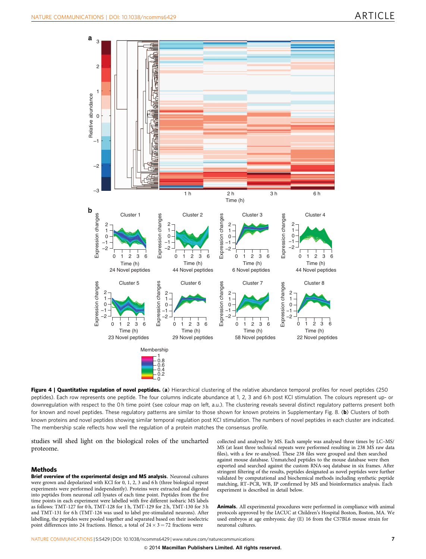<span id="page-6-0"></span>

Figure 4 | Quantitative regulation of novel peptides. (a) Hierarchical clustering of the relative abundance temporal profiles for novel peptides (250 peptides). Each row represents one peptide. The four columns indicate abundance at 1, 2, 3 and 6 h post KCl stimulation. The colours represent up- or downregulation with respect to the 0 h time point (see colour map on left, a.u.). The clustering reveals several distinct regulatory patterns present both for known and novel peptides. These regulatory patterns are similar to those shown for known proteins in Supplementary Fig. 8. (b) Clusters of both known proteins and novel peptides showing similar temporal regulation post KCl stimulation. The numbers of novel peptides in each cluster are indicated. The membership scale reflects how well the regulation of a protein matches the consensus profile.

studies will shed light on the biological roles of the uncharted proteome.

### **Methods**

Brief overview of the experimental design and MS analysis. Neuronal cultures were grown and depolarized with KCl for 0, 1, 2, 3 and 6 h (three biological repeat experiments were performed independently). Proteins were extracted and digested into peptides from neuronal cell lysates of each time point. Peptides from the five time points in each experiment were labelled with five different isobaric MS labels as follows: TMT-127 for 0 h, TMT-128 for 1 h, TMT-129 for 2 h, TMT-130 for 3 h and TMT-131 for 6 h (TMT-126 was used to label pre-stimulated neurons). After labelling, the peptides were pooled together and separated based on their isoelectric point differences into 24 fractions. Hence, a total of  $24 \times 3 = 72$  fractions were

collected and analysed by MS. Each sample was analysed three times by LC–MS/ MS (at least three technical repeats were performed resulting in 238 MS raw data files), with a few re-analysed. These 238 files were grouped and then searched against mouse database. Unmatched peptides to the mouse database were then exported and searched against the custom RNA-seq database in six frames. After stringent filtering of the results, peptides designated as novel peptides were further validated by computational and biochemical methods including synthetic peptide matching, RT–PCR, WB, IP confirmed by MS and bioinformatics analysis. Each experiment is described in detail below.

Animals. All experimental procedures were performed in compliance with animal protocols approved by the IACUC at Children's Hospital Boston, Boston, MA. We used embryos at age embryonic day (E) 16 from the C57BL6 mouse strain for neuronal cultures.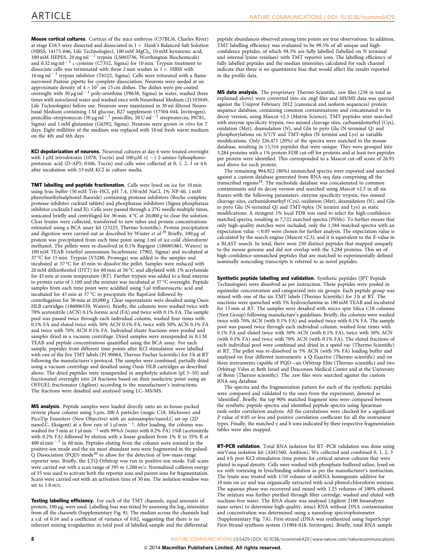Mouse cortical cultures. Cortices of the mice embryos (C57BL/6, Charles River) at stage E16.5 were dissected and dissociated in  $1 \times$  Hank's Balanced Salt Solution (HBSS; 14175-046, Life Technologies), 100 mM MgCl<sub>2</sub>, 10 mM kynurenic acid, 100 mM HEPES, 20 mg ml<sup>-1</sup> trypsin (LS003736, Worthington Biochemicals) and 0.32 mg ml  $^{-1}$  L-cysteine (C7352, Sigma) for 10 min. Trypsin treatment to dissociate cells was terminated with three 2 min washes in  $1 \times$  HBSS with  $10 \,\mathrm{mg\,ml^{-1}}$  trypsin inhibitor (T6522, Sigma). Cells were triturated with a flamenarrowed Pasteur pipette for complete dissociation. Neurons were seeded at an approximate density of  $4 \times 10^7$  on 15 cm dishes. The dishes were pre-coated overnight with 30  $\mu$ g ml  $^{-1}$  poly-ornithine (P8638, Sigma) in water, washed three times with autoclaved water and washed once with Neurobasal Medium (21103049, Life Technologies) before use. Neurons were maintained in 30 ml filtered Neurobasal Medium containing 1 M glucose, B27 supplement (17504-044, Invitrogen), penicillin–streptomycin (50 µg ml $^{-1}$  penicillin, 50 U ml $^{-1}$  streptomycin; P0781, Sigma) and 1 mM glutamine (G6392, Sigma). Neurons were grown in vitro for 7 days. Eight millilitre of the medium was replaced with 10 ml fresh warm medium on the 4th and 6th days.

KCl depolarization of neurons. Neuronal cultures at day 6 were treated overnight with 1  $\mu$ M tetrodotoxin (1078, Tocris) and 100  $\mu$ M  $\text{d}$ ( – )-2-amino-5phosphonopentanoic acid (D-AP5; 0106, Tocris) and cells were collected at 0, 1, 2, 3 or 6 h after incubation with 55 mM KCl in culture media.

TMT labelling and peptide fractionation. Cells were lysed on ice for 10 min using lysis buffer (50 mM Tris–HCl, pH 7.4, 150 mM NaCl, 1% NP-40, 1 mM phenylmethylsulphonyl fluoride) containing protease inhibitors (Roche complete protease inhibitor cocktail tablets) and phosphatase inhibitors (Sigma phosphatase inhibitor cocktails I and II). Cells were passed through a 27G needle multiple times, sonicated briefly and centrifuged for 30 min, 4 °C at 20,000 g to clear the solution. Clear lysates were collected, transferred to new tubes and protein concentrations estimated using a BCA assay kit (23225, Thermo Scientific). Protein precipitation and digestion were carried out as described by Winter et  $al.^{29}$  $al.^{29}$  $al.^{29}$  Briefly, 100 µg of protein was precipitated from each time point using 1 ml of ice-cold chloroform/ methanol. The pellets were re-dissolved in 0.1% Rapigest (186001861, Waters) in 100 mM TEAB (triethyl ammonium bicarbonate; 17902, Sigma) and incubated at 37 °C for 15 min. Trypsin (V5280, Promega) was added to the samples and incubated at 37 °C for 45 min to dissolve the pellet. Samples were reduced with 20 mM dithiothreitol (DTT) for 60 min at 56 °C and alkylated with 1% acrylamide for 45 min at room temperature (RT). Further trypsin was added to a final enzyme to protein ratio of 1:100 and the mixture was incubated at 37 °C overnight. Peptide samples from each time point were acidified using 5 µl trifluoroacetic acid and incubated for 45 min at 37  $^{\circ} \textrm{C}$  to precipitate the RapiGest followed by centrifugation for 30 min at 20,000 g. Clear supernatants were desalted using Oasis HLB cartridges (186006339, Waters). Briefly, the columns were washed twice with 70% acetonitrile (ACN) 0.1% formic acid (FA) and twice with 0.1% FA. The sample pool was passed twice through each individual column, washed four times with 0.1% FA and eluted twice with 30% ACN 0.1% FA, twice with 50% ACN 0.1% FA and twice with 70% ACN 0.1% FA. Individual eluate fractions were pooled and samples dried in a vacuum centrifuge. Dried samples were resuspended in 0.1 M TEAB and peptide concentrations quantified using the BCA assay. For each sample, peptides from different time points after KCl stimulation were labelled with one of the five TMT labels (PI-90064, Thermo Fischer Scientific) for 3 h at RT following the manufacturer's protocol. The samples were combined, partially dried using a vacuum centrifuge and desalted using Oasis HLB cartridges as described above. The dried peptides were resuspended in ampholyte solution (pI 3–10) and fractionated overnight into 24 fractions based on their isoelectric point using an OFFGEL fractionator (Agilent) according to the manufacturer's instructions. The fractions were desalted and analysed using LC–MS/MS.

MS analysis. Peptide samples were loaded directly onto an in-house-packed reverse phase column using  $5 \mu m$ ,  $200 \text{ Å}$  particles (magic C18, Michrom) and PicoTip Emmiters (New Objective) with an autosampler/nanoLC set-up (2D nanoLC, Eksigent) at a flow rate of  $1 \mu$ l min<sup>-1</sup>. After loading, the column was washed for 5 min at 1  $\mu$ l min $^{-1}$  with 99%A (water with 0.2% FA) 1%B (acetonitrile with 0.2% FA) followed by elution with a linear gradient from 1% B to 35% B at  $400$  nl min $^{-1}$  in 60 min. Peptides eluting from the column were ionized in the positive-ion mode and the six most abundant ions were fragmented in the pulsed-Q Dissociation (PQD) mode<sup>[30](#page-9-0)</sup> to allow for the detection of low-mass-range reporter ions. Briefly, the LTQ-Orbitrap was run in positive-ion mode. Full scans were carried out with a scan range of 395 to 1,200 m/z. Normalized collision energy of 35 was used to activate both the reporter ions and parent ions for fragmentation. Scans were carried out with an activation time of 30 ms. The isolation window was set to  $1.0$  m/z.

Testing labelling efficiency. For each of the TMT channels, equal amounts of protein,  $100 \mu$ g, were used. Labelling bias was tested by assessing the log<sub>2</sub> intensities from all the channels (Supplementary Fig. 8). The median across the channels had a s.d. of 0.16 and a coefficient of variance of 0.02, suggesting that there is no inherent mixing irregularities in total pool of labelled sample and the differential

peptide abundances observed among time points are true observations. In addition, TMT labelling efficiency was evaluated to be 99.5% of all unique and highconfidence peptides, of which 98.3% are fully labelled (labelled on N terminal and internal lysine residues) with TMT reporter ions. The labelling efficiency of fully labelled peptides and the median intensities calculated for each channel indicate that there is no quantitative bias that would affect the results reported in the profile data.

MS data analysis. The proprietary Thermo Scientific .raw files (238 in total as explained above) were converted into six .mgf files and MS/MS data was queried against the Uniprot February 2012 (canonical and isoform sequences) protein sequence database, containing common contaminations and concatenated to its decoy version, using Mascot v2.3 (Matrix Science). TMT peptides were searched with enzyme specificity trypsin, two missed cleavage sites, carbamidomethyl (Cys), oxidation (Met), deamidation (N), and Gln to pyro Glu (N-terminal Q) and phosphorylations on S/T/Y and TMT-6plex (N termini and Lys) as variable modifications. Only 226,471 (20%) of the spectra were matched to the mouse database, resulting in 15,516 peptides that were unique. They were grouped into 3,284 proteins with a 1% protein FDR cut-off for proteins and at least two peptides per protein were identified. This corresponded to a Mascot cut-off score of 26.93 and above for each protein.

The remaining 904,922 (80%) unmatched spectra were exported and searched against a custom database generated from RNA-seq data comprising all the transcribed regions<sup>[16](#page-8-0)</sup>. The nucleotide database was concatenated to common contaminants and its decoy version and searched using Mascot v2.3 in all six frames with the following parameters: enzyme specificity trypsin, two missed cleavage sites, carbamidomethyl (Cys), oxidation (Met), deamidation (N), and Gln to pyro Glu (N-terminal Q) and TMT-6plex (N termini and Lys) as static modifications. A stringent 1% local FDR was used to select for high-confidencematched spectra, resulting in 7,722 matched spectra (PSMs). To further ensure that only high-quality matches were included, only the 1,584 matched spectra with an  $e$ xpectation value  $<$  0.05 were chosen for further analysis. The expectation value is calculated by the search engine (Mascot v2.3), and it is equivalent to the E-value in a BLAST search. In total, there were 250 distinct peptides that mapped uniquely to the mouse genome and did not overlap with the 3,284 proteins. This set of high-confidence-unmatched peptides that are matched to experimentally defined nominally noncoding transcripts is referred to as novel peptides.

Synthetic peptide labelling and validation. Synthetic peptides (JPT Peptide Technologies) were dissolved as per instruction. These peptides were pooled in equimolar concentration and categorized into six groups. Each peptide group was mixed with one of the six TMT labels (Thermo Scientific) for 3 h at RT. The reactions were quenched with 5% hydroxylamine in 100 mM TEAB and incubated for 15 min at RT. The samples were desalted with micro spin Silica C18 columns (Nest Group) following manufacture's guidelines. Briefly, the columns were washed twice with 70% ACN (with 0.1% FA) and washed twice with 0.1% FA. The sample pool was passed twice through each individual column, washed four times with 0.1% FA and eluted twice with 30% ACN (with 0.1% FA), twice with 50% ACN (with 0.1% FA) and twice with 70% ACN (with 0.1% FA). The eluted fractions of each individual pool were combined and dried in a speed-vac (Thermo Scientific) at RT. The pellet was re-dissolved in 5% ACN (with 5% FA) loading buffer and analysed on four different instruments: a Q-Exactive (Thermo scientific) and on three instruments capable of PQD—an Orbitrap Elite (Thermo scientific) and two Orbitrap Velos at Beth Israel and Deaconess Medical Center and at the University of Bonn (Thermo scientific). The .raw files were searched against the custom RNA-seq database.

The spectra and the fragmentation pattern for each of the synthetic peptides were compared and validated to the ones from the experiment, denoted as 'identified'. Briefly, the top 90% matched fragment ions were compared between the synthetic peptide spectra and identified peptide spectra using Spearman rank-order correlation analysis. All the correlations were checked for a significant P value of 0.05 or less and positive correlation coefficient for all the instrument types. Finally, the matched y and b ions indicated by their respective fragmentation tables were also mapped.

RT-PCR validation. Total RNA isolation for RT-PCR validation was done using mirVana isolation kit (AM1560, Ambion). We collected and combined 0, 1, 2, 3 and 6 h post-KCl stimulation time points for cortical neuron cultures that were plated in equal density. Cells were washed with phosphate-buffered saline, lysed on ice with vortexing in lysis/binding solution as per the manufacturer's instruction. The lysate was treated with 1/10 volume of miRNA homogenate additive for 10 min on ice and was organically extracted with acid-phenol:chloroform mixture. The aqueous phase was recovered and mixed with 1.25 volumes of 100% ethanol. The mixture was further purified through filter cartridge, washed and eluted with nuclease-free water. The RNA eluate was analysed (Agilent 2100 bioanalyzer nano series) to determine high-quality, intact RNA without DNA contamination and concentration was determined using a nanodrop spectrophotometer (Supplementary Fig. 7A). First-strand cDNA was synthesized using SuperScript First-Strand synthesis system (11904-018, Invitrogen). Briefly, total RNA sample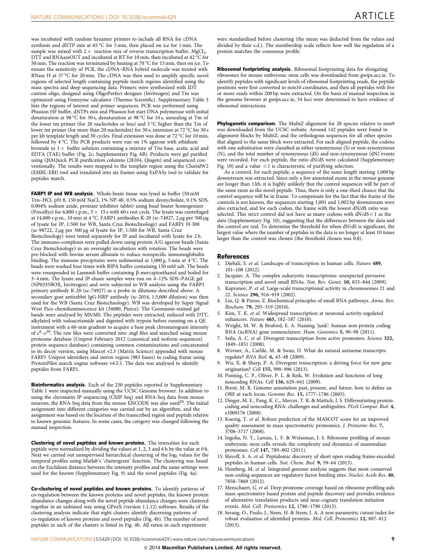<span id="page-8-0"></span>was incubated with random hexamer primers to include all RNA for cDNA synthesis and dNTP mix at 65  $^{\circ}$ C for 5 min, then placed on ice for 1 min. The sample was mixed with  $2 \times$  reaction mix of reverse transcription buffer, MgCl<sub>2</sub>, DTT and RNAaseOUT and incubated at RT for 10 min, then incubated at 42  $^{\circ}$ C for 50 min. The reaction was terminated by heating at 70 °C for 15 min, then on ice. To ensure the sensitivity of PCR, the cDNA–RNA hybrid molecule was treated with RNase H at 37  $^{\circ}$ C for 20 min. The cDNA was then used to amplify specific novel regions of selected length containing peptide match regions identified using the mass spectra and deep-sequencing data. Primers were synthesized with IDT custom oligo, designed using OligoPerfect designer (Invitrogen) and Tm was optimized using Finnzyme calculator (Thermo Scientific). Supplementary Table 3 lists the regions of interest and primer sequences. PCR was performed using Phusion HF buffer, dNTPs mix and Phusion hot start DNA polymerase with initial denaturation at 98 °C for 30<sub>s</sub>, denaturation at 98 °C for 10<sub>s</sub>, annealing at Tm of the lower tm primer (for 20 nucleotides or less) and 3  $^{\circ}$ C higher than the Tm of lower tm primer (for more than 20 nucleotides) for 30 s, extension at 72 °C for 30 s per kb template length and 30 cycles. Final extension was done at 72 °C for 10 min, followed by 4 °C. The PCR products were run on 1% agarose with ethidium bromide in  $1 \times$  buffer solution containing a mixture of Tris base, acetic acid and EDTA (TAE) buffer ([Fig. 2c](#page-4-0); Supplementary Fig. 6B). Products were gel purified using QIAQuick PCR purification columns (28104, Qiagen) and sequenced conventionally. The results were mapped to the template region using the ClustalW2 (EMBL-EBI) tool and translated into six frames using ExPASy tool to validate for peptides match.

FARP1 IP and WB analysis. Whole-brain tissue was lysed in buffer (50 mM Tris–HCl, pH 8, 150 mM NaCl, 1% NP-40, 0.5% sodium deoxycholate, 0.1% SDS, 0.004% sodium azide, protease inhibitor tablet) using bead beater homogenizer (Precellys) for 6,800 r.p.m.,  $3 \times 15$  s with 60 s rest cycle. The lysate was centrifuged at 14,000 r.p.m., 10 min at 4 °C. FARP1 antibodies K-20 (sc-74927, 2 µg per 500 µg of lysate for IP, 1:500 for WB, Santa Cruz Biotechnology) and FARP1 H-300  $(\text{sc-98722}, 2 \,\mu\text{g} \text{ per } 500 \,\mu\text{g} \text{ of lysate for IP}, 1:500 \text{ for WB}, \text{Santa Cruz}$ Biotechnology) were tested separately for IP and incubated with lysate for 2 h. The immuno-complexes were pulled down using protein A/G agarose beads (Santa Cruz Biotechnology) in an overnight incubation with rotation. The beads were pre-blocked with bovine serum albumin to reduce nonspecific immunoglobulin binding. The immune precipitates were sedimented at 1,000 g, 5 min at 4 °C. The beads were washed four times with RIPA buffer containing 150 mM salt. The beads were resuspended in Laemmli buffer containing  $\beta$ -mercaptoethanol and boiled for 3–4 min. The lysate and IP eluate samples were run on 4–12% SDS–PAGE gel (NP0335BOX, Invitrogen) and were subjected to WB analysis using the FARP1 primary antibody K-20 (sc-74927) as a probe in dilutions described above. A secondary goat antirabbit IgG-HRP antibody (sc-2054, 1:5,000 dilution) was then used for the WB (Santa Cruz Biotechnology). WB was developed by Super Signal West Pico chemiluminescence kit (34080, Pierce). The Coomassie-stained gel bands were analysed by MS/MS. The peptides were extracted, reduced with DTT, alkylated with iodoacetamide and digested with trypsin before running on a QE instrument with a 60-min gradient to acquire a base peak chromatogram intensity of  $e^9 - e^{10}$ . The raw files were converted into .mgf files and searched using mouse proteome database (Uniprot February 2012 (canonical and isoform sequences) protein sequence database) containing common contaminations and concatenated to its decoy version, using Mascot v2.3 (Matrix Science) appended with mouse FARP1 Uniprot identifiers and intron region (983 bases) in coding frame using ProteinPilot search engine software v4.5.1. The data was analysed to identify peptides from FARP1.

Bioinformatics analysis. Each of the 250 peptides reported in Supplementary Table 1 were inspected manually using the UCSC Genome browser. In addition to using the chromatin IP sequencing (ChIP-Seq) and RNA-Seq data from mouse neurons, the RNA-Seq data from the mouse ENCODE was also used<sup>20</sup>. The initial assignment into different categories was carried out by an algorithm, and the assignment was based on the location of the transcribed region and peptide relative to known genomic features. In some cases, the category was changed following the manual inspection.

Clustering of novel peptides and known proteins. The intensities for each peptide were normalized by dividing the values at 1, 2, 3 and 6 h by the value at 0 h. Next we carried out unsupervised hierarchical clustering of the log<sub>2</sub> values for the temporal profiles using Matlab's 'clustergram' function. The clustering was based on the Euclidean distance between the intensity profiles and the same settings were used for the known (Supplementary Fig. 9) and the novel peptides [\(Fig. 4a](#page-6-0)).

Co-clustering of novel peptides and known proteins. To identify patterns of co-regulation between the known proteins and novel peptides, the known protein abundance changes along with the novel peptide abundance changes were clustered together in an unbiased way using GProX (version 1.1.12) software. Results of the clustering analysis indicate that eight clusters identify discerning patterns of co-regulation of known proteins and novel peptides [\(Fig. 4b\)](#page-6-0). The number of novel peptides in each of the clusters is listed in [Fig. 4b](#page-6-0). All ratios in each experiment

were standardized before clustering (the mean was deducted from the values and divided by their s.d.). The membership scale reflects how well the regulation of a protein matches the consensus profile.

Ribosomal footprinting analysis. Ribosomal footprinting data for elongating ribosomes for mouse embryonic stem cells was downloaded from gwips.ucc.ie. To identify peptides with significant levels of ribosomal footprinting reads, the peptide positions were first converted to mm10 coordinates, and then all peptides with five or more reads within 200 bp were extracted. On the basis of manual inspection in the genome browser at gwips.ucc.ie, 34 loci were determined to have evidence of ribosomal interactions.

Phylogenetic comparison. The MultiZ alignment for 28 species relative to mm9 was downloaded from the UCSC website. Around 142 peptides were found in alignment blocks by MultiZ, and the orthologous sequences for all other species that aligned to the same block were extracted. For each aligned peptide, the codons with one substitution were classified as either synonymous (S) or non-synonymous (N), and the total number of synonymous (dS) and non-synonymous (dN) events were recorded. For each peptide, the ratio dN/dS were calculated (Supplementary Fig. 10) and a value  $\langle 1 \rangle$  is characteristic of purifying selection.

As a control, for each peptide, a sequence of the same length starting 1,000 bp downstream was extracted. Since only a few annotated exons in the mouse genome are longer than 1 kb, it is highly unlikely that the control sequences will be part of the same exon as the novel peptide. Thus, there is only a one-third chance that the control sequence will be in frame. To compensate for the fact that the frame of the controls is not known, the sequences starting 1,001 and 1,002 bp downstream were also extracted, and for each codon, the frame with the lowest dN/dS ratio was selected. This strict control did not have as many codons with  $dN/dS < 1$  as the data (Supplementary Fig. 10), suggesting that the differences between the data and the control are real. To determine the threshold for when dN/dS is significant, the largest value where the number of peptides in the data is no longer at least 10 times larger than the control was chosen (the threshold chosen was 0.8).

#### References

- 1. Djebali, S. et al. Landscape of transcription in human cells. Nature 489, 101–108 (2012).
- Jacquier, A. The complex eukaryotic transcriptome: unexpected pervasive transcription and novel small RNAs. Nat. Rev. Genet. 10, 833–844 (2009).
- Kapranov, P. et al. Large-scale transcriptional activity in chromosomes 21 and 22. Science 296, 916–919 (2002).
- 4. Liu, Q. & Paroo, Z. Biochemical principles of small RNA pathways. Annu. Rev. Biochem. 79, 295–319 (2010).
- 5. Kim, T. K. et al. Widespread transcription at neuronal activity-regulated enhancers. Nature 465, 182–187 (2010).
- 6. Wright, M. W. & Bruford, E. A. Naming 'junk': human non-protein coding RNA (ncRNA) gene nomenclature. Hum. Genomics 5, 90–98 (2011).
- Seila, A. C. et al. Divergent transcription from active promoters. Science 322, 1849–1851 (2008).
- 8. Werner, A., Carlile, M. & Swan, D. What do natural antisense transcripts regulate? RNA Biol. 6, 43–48 (2009).
- Wu, X. & Sharp, P. A. Divergent transcription: a driving force for new gene origination? Cell 155, 990–996 (2013).
- 10. Ponting, C. P., Oliver, P. L. & Reik, W. Evolution and functions of long noncoding RNAs. Cell 136, 629–641 (2009).
- 11. Brent, M. R. Genome annotation past, present, and future: how to define an ORF at each locus. Genome Res. 15, 1777–1786 (2005).
- 12. Dinger, M. E., Pang, K. C., Mercer, T. R. & Mattick, J. S. Differentiating proteincoding and noncoding RNA: challenges and ambiguities. PLoS Comput. Biol. 4, e1000176 (2008).
- 13. Koenig, T. et al. Robust prediction of the MASCOT score for an improved quality assessment in mass spectrometric proteomics. J. Proteome Res. 7, 3708–3717 (2008).
- 14. Ingolia, N. T., Lareau, L. F. & Weissman, J. S. Ribosome profiling of mouse embryonic stem cells reveals the complexity and dynamics of mammalian proteomes. Cell 147, 789-802 (2011).
- 15. Slavoff, S. A. et al. Peptidomic discovery of short open reading frame-encoded peptides in human cells. Nat. Chem. Biol. 9, 59–64 (2013).
- 16. Hemberg, M. et al. Integrated genome analysis suggests that most conserved non-coding sequences are regulatory factor binding sites. Nucleic Acids Res. 40, 7858–7869 (2012).
- 17. Menschaert, G. et al. Deep proteome coverage based on ribosome profiling aids mass spectrometry-based protein and peptide discovery and provides evidence of alternative translation products and near-cognate translation initiation events. Mol. Cell. Proteomics 12, 1780–1790 (2013).
- 18. Serang, O., Paulo, J., Steen, H. & Steen, J. A. A non-parametric cutout index for robust evaluation of identified proteins. Mol. Cell. Proteomics 12, 807–812 (2013).

NATURE COMMUNICATIONS | 5:5429 | DOI: 10.1038/ncomms6429 | [www.nature.com/naturecommunications](http://www.nature.com/naturecommunications) 9